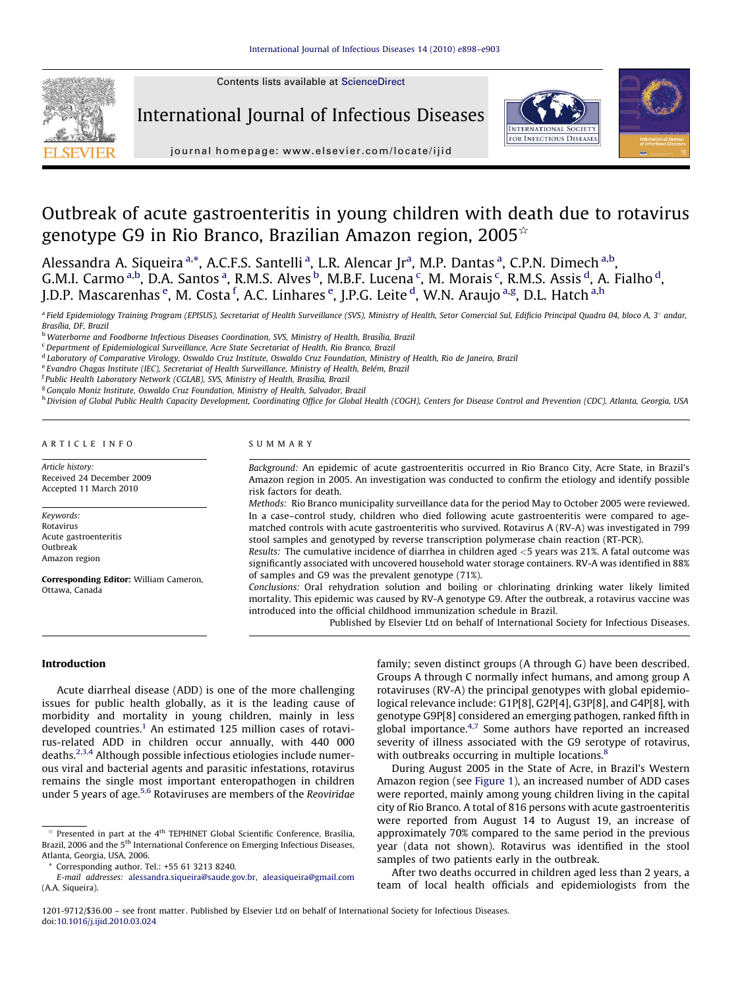Contents lists available at [ScienceDirect](http://www.sciencedirect.com/science/journal/12019712)



International Journal of Infectious Diseases





journal homepage: www.elsevier.com/locate/ijid

# Outbreak of acute gastroenteritis in young children with death due to rotavirus genotype G9 in Rio Branco, Brazilian Amazon region, 2005 $\star$

Alessandra A. Siqueira <sup>a,\*</sup>, A.C.F.S. Santelli <sup>a</sup>, L.R. Alencar Jr<sup>a</sup>, M.P. Dantas <sup>a</sup>, C.P.N. Dimech <sup>a,b</sup>, G.M.I. Carmo <sup>a,b</sup>, D.A. Santos <sup>a</sup>, R.M.S. Alves <sup>b</sup>, M.B.F. Lucena <sup>c</sup>, M. Morais <sup>c</sup>, R.M.S. Assis <sup>d</sup>, A. Fialho <sup>d</sup>, J.D.P. Mascarenhas <sup>e</sup>, M. Costa <sup>f</sup>, A.C. Linhares <sup>e</sup>, J.P.G. Leite <sup>d</sup>, W.N. Araujo <sup>a,g</sup>, D.L. Hatch <sup>a,h</sup>

a Field Epidemiology Training Program (EPISUS), Secretariat of Health Surveillance (SVS), Ministry of Health, Setor Comercial Sul, Edificio Principal Quadra 04, bloco A, 3° andar, Brasília, DF, Brazil

<sup>b</sup> Waterborne and Foodborne Infectious Diseases Coordination, SVS, Ministry of Health, Brasília, Brazil

<sup>c</sup> Department of Epidemiological Surveillance, Acre State Secretariat of Health, Rio Branco, Brazil

<sup>d</sup> Laboratory of Comparative Virology, Oswaldo Cruz Institute, Oswaldo Cruz Foundation, Ministry of Health, Rio de Janeiro, Brazil

<sup>e</sup> Evandro Chagas Institute (IEC), Secretariat of Health Surveillance, Ministry of Health, Belém, Brazil

<sup>f</sup> Public Health Laboratory Network (CGLAB), SVS, Ministry of Health, Brasília, Brazil

<sup>g</sup> Gonçalo Moniz Institute, Oswaldo Cruz Foundation, Ministry of Health, Salvador, Brazil

h Division of Global Public Health Capacity Development, Coordinating Office for Global Health (COGH), Centers for Disease Control and Prevention (CDC), Atlanta, Georgia, USA

# ARTICLE INFO

Article history: Received 24 December 2009 Accepted 11 March 2010

Keywords: Rotavirus Acute gastroenteritis Outbreak Amazon region

Corresponding Editor: William Cameron, Ottawa, Canada

#### SUMMARY

Background: An epidemic of acute gastroenteritis occurred in Rio Branco City, Acre State, in Brazil's Amazon region in 2005. An investigation was conducted to confirm the etiology and identify possible risk factors for death.

Methods: Rio Branco municipality surveillance data for the period May to October 2005 were reviewed. In a case–control study, children who died following acute gastroenteritis were compared to agematched controls with acute gastroenteritis who survived. Rotavirus A (RV-A) was investigated in 799 stool samples and genotyped by reverse transcription polymerase chain reaction (RT-PCR).

Results: The cumulative incidence of diarrhea in children aged <5 years was 21%. A fatal outcome was significantly associated with uncovered household water storage containers. RV-A was identified in 88% of samples and G9 was the prevalent genotype (71%).

Conclusions: Oral rehydration solution and boiling or chlorinating drinking water likely limited mortality. This epidemic was caused by RV-A genotype G9. After the outbreak, a rotavirus vaccine was introduced into the official childhood immunization schedule in Brazil.

Published by Elsevier Ltd on behalf of International Society for Infectious Diseases.

# Introduction

Acute diarrheal disease (ADD) is one of the more challenging issues for public health globally, as it is the leading cause of morbidity and mortality in young children, mainly in less developed countries.<sup>1</sup> An estimated 125 million cases of rotavirus-related ADD in children occur annually, with 440 000 deaths.<sup>[2,3,4](#page-4-0)</sup> Although possible infectious etiologies include numerous viral and bacterial agents and parasitic infestations, rotavirus remains the single most important enteropathogen in children under 5 years of age.<sup>[5,6](#page-4-0)</sup> Rotaviruses are members of the Reoviridae family; seven distinct groups (A through G) have been described. Groups A through C normally infect humans, and among group A rotaviruses (RV-A) the principal genotypes with global epidemiological relevance include: G1P[8], G2P[4], G3P[8], and G4P[8], with genotype G9P[8] considered an emerging pathogen, ranked fifth in global importance.[4,7](#page-4-0) Some authors have reported an increased severity of illness associated with the G9 serotype of rotavirus, with outbreaks occurring in multiple locations.<sup>[8](#page-4-0)</sup>

During August 2005 in the State of Acre, in Brazil's Western Amazon region (see [Figure 1\)](#page-1-0), an increased number of ADD cases were reported, mainly among young children living in the capital city of Rio Branco. A total of 816 persons with acute gastroenteritis were reported from August 14 to August 19, an increase of approximately 70% compared to the same period in the previous year (data not shown). Rotavirus was identified in the stool samples of two patients early in the outbreak.

After two deaths occurred in children aged less than 2 years, a team of local health officials and epidemiologists from the

 $\rightarrow$  Presented in part at the 4<sup>th</sup> TEPHINET Global Scientific Conference, Brasília, Brazil, 2006 and the 5<sup>th</sup> International Conference on Emerging Infectious Diseases, Atlanta, Georgia, USA, 2006.

<sup>\*</sup> Corresponding author. Tel.: +55 61 3213 8240.

E-mail addresses: [alessandra.siqueira@saude.gov.br](mailto:alessandra.siqueira@saude.gov.br), [aleasiqueira@gmail.com](mailto:aleasiqueira@gmail.com) (A.A. Siqueira).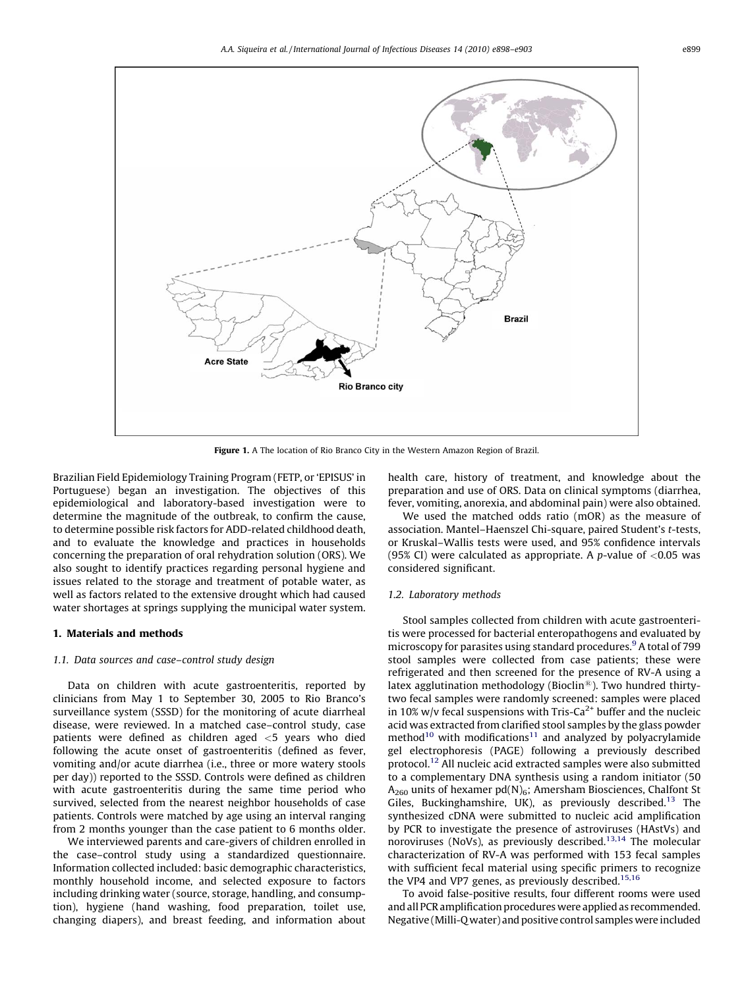<span id="page-1-0"></span>

Figure 1. A The location of Rio Branco City in the Western Amazon Region of Brazil.

Brazilian Field Epidemiology Training Program (FETP, or 'EPISUS' in Portuguese) began an investigation. The objectives of this epidemiological and laboratory-based investigation were to determine the magnitude of the outbreak, to confirm the cause, to determine possible risk factors for ADD-related childhood death, and to evaluate the knowledge and practices in households concerning the preparation of oral rehydration solution (ORS). We also sought to identify practices regarding personal hygiene and issues related to the storage and treatment of potable water, as well as factors related to the extensive drought which had caused water shortages at springs supplying the municipal water system.

# 1. Materials and methods

# 1.1. Data sources and case–control study design

Data on children with acute gastroenteritis, reported by clinicians from May 1 to September 30, 2005 to Rio Branco's surveillance system (SSSD) for the monitoring of acute diarrheal disease, were reviewed. In a matched case–control study, case patients were defined as children aged <5 years who died following the acute onset of gastroenteritis (defined as fever, vomiting and/or acute diarrhea (i.e., three or more watery stools per day)) reported to the SSSD. Controls were defined as children with acute gastroenteritis during the same time period who survived, selected from the nearest neighbor households of case patients. Controls were matched by age using an interval ranging from 2 months younger than the case patient to 6 months older.

We interviewed parents and care-givers of children enrolled in the case–control study using a standardized questionnaire. Information collected included: basic demographic characteristics, monthly household income, and selected exposure to factors including drinking water (source, storage, handling, and consumption), hygiene (hand washing, food preparation, toilet use, changing diapers), and breast feeding, and information about health care, history of treatment, and knowledge about the preparation and use of ORS. Data on clinical symptoms (diarrhea, fever, vomiting, anorexia, and abdominal pain) were also obtained.

We used the matched odds ratio (mOR) as the measure of association. Mantel–Haenszel Chi-square, paired Student's t-tests, or Kruskal–Wallis tests were used, and 95% confidence intervals (95% CI) were calculated as appropriate. A p-value of  $< 0.05$  was considered significant.

## 1.2. Laboratory methods

Stool samples collected from children with acute gastroenteritis were processed for bacterial enteropathogens and evaluated by microscopy for parasites using standard procedures.<sup>[9](#page-4-0)</sup> A total of 799 stool samples were collected from case patients; these were refrigerated and then screened for the presence of RV-A using a latex agglutination methodology (Bioclin®). Two hundred thirtytwo fecal samples were randomly screened: samples were placed in 10% w/v fecal suspensions with Tris-Ca<sup>2+</sup> buffer and the nucleic acid was extracted from clarified stool samples by the glass powder method $10$  with modifications $11$  and analyzed by polyacrylamide gel electrophoresis (PAGE) following a previously described protocol[.12](#page-4-0) All nucleic acid extracted samples were also submitted to a complementary DNA synthesis using a random initiator (50  $A_{260}$  units of hexamer pd(N)<sub>6</sub>; Amersham Biosciences, Chalfont St Giles, Buckinghamshire, UK), as previously described.<sup>[13](#page-4-0)</sup> The synthesized cDNA were submitted to nucleic acid amplification by PCR to investigate the presence of astroviruses (HAstVs) and noroviruses (NoVs), as previously described.<sup>[13,14](#page-4-0)</sup> The molecular characterization of RV-A was performed with 153 fecal samples with sufficient fecal material using specific primers to recognize the VP4 and VP7 genes, as previously described.<sup>[15,16](#page-5-0)</sup>

To avoid false-positive results, four different rooms were used and all PCR amplification procedures were applied as recommended. Negative (Milli-Q water) and positive control samples were included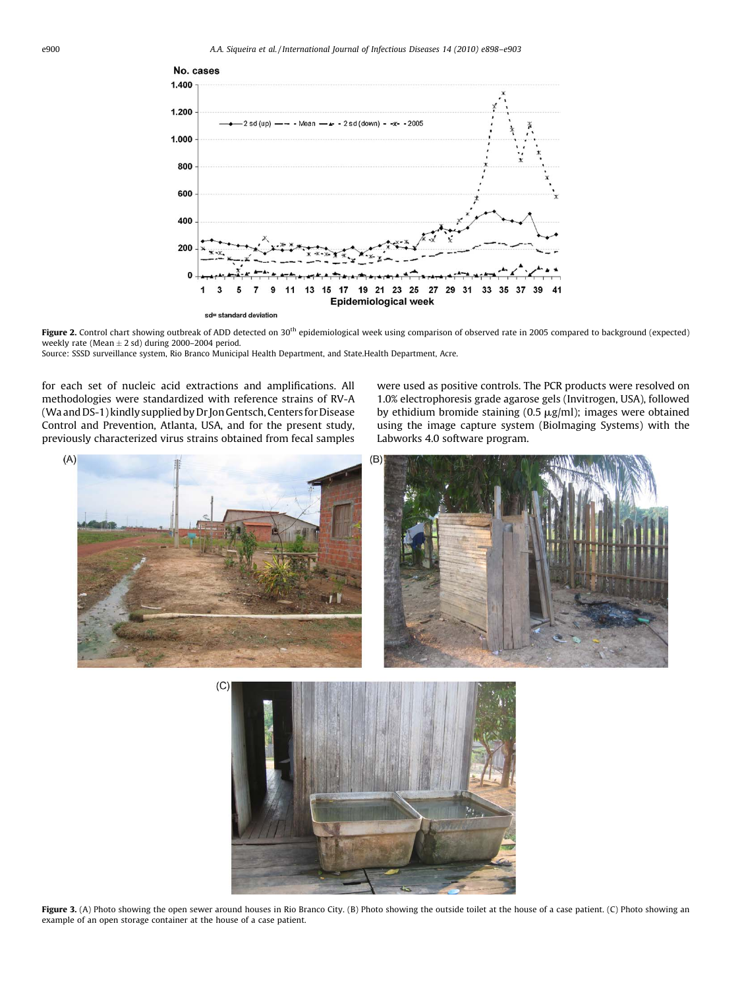<span id="page-2-0"></span>

Figure 2. Control chart showing outbreak of ADD detected on 30<sup>th</sup> epidemiological week using comparison of observed rate in 2005 compared to background (expected) weekly rate (Mean  $\pm$  2 sd) during 2000–2004 period. Source: SSSD surveillance system, Rio Branco Municipal Health Department, and State.Health Department, Acre.

for each set of nucleic acid extractions and amplifications. All methodologies were standardized with reference strains of RV-A (Wa and DS-1) kindly supplied by Dr Jon Gentsch, Centers for Disease Control and Prevention, Atlanta, USA, and for the present study, previously characterized virus strains obtained from fecal samples

were used as positive controls. The PCR products were resolved on 1.0% electrophoresis grade agarose gels (Invitrogen, USA), followed by ethidium bromide staining (0.5  $\mu$ g/ml); images were obtained using the image capture system (BioImaging Systems) with the Labworks 4.0 software program.





Figure 3. (A) Photo showing the open sewer around houses in Rio Branco City. (B) Photo showing the outside toilet at the house of a case patient. (C) Photo showing an example of an open storage container at the house of a case patient.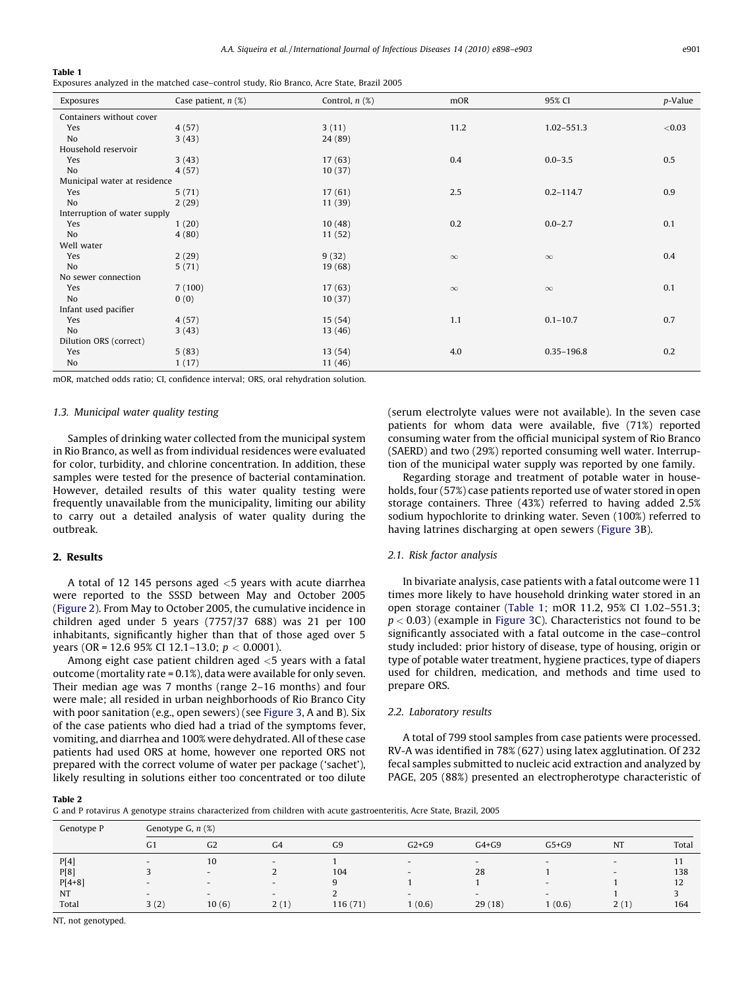## <span id="page-3-0"></span>Table 1

Exposures analyzed in the matched case–control study, Rio Branco, Acre State, Brazil 2005

| Exposures                    | Case patient, $n$ (%) | Control, $n$ $(\%)$ | mOR      | 95% CI         | p-Value |  |  |  |  |  |
|------------------------------|-----------------------|---------------------|----------|----------------|---------|--|--|--|--|--|
| Containers without cover     |                       |                     |          |                |         |  |  |  |  |  |
| Yes                          | 4(57)                 | 3(11)               | 11.2     | 1.02-551.3     | < 0.03  |  |  |  |  |  |
| No                           | 3(43)                 | 24 (89)             |          |                |         |  |  |  |  |  |
| Household reservoir          |                       |                     |          |                |         |  |  |  |  |  |
| Yes                          | 3(43)                 | 17(63)              | 0.4      | $0.0 - 3.5$    | 0.5     |  |  |  |  |  |
| No                           | 4(57)                 | 10(37)              |          |                |         |  |  |  |  |  |
| Municipal water at residence |                       |                     |          |                |         |  |  |  |  |  |
| Yes                          | 5(71)                 | 17(61)              | 2.5      | $0.2 - 114.7$  | 0.9     |  |  |  |  |  |
| No                           | 2(29)                 | 11(39)              |          |                |         |  |  |  |  |  |
| Interruption of water supply |                       |                     |          |                |         |  |  |  |  |  |
| Yes                          | 1(20)                 | 10(48)              | 0.2      | $0.0 - 2.7$    | 0.1     |  |  |  |  |  |
| No                           | 4(80)                 | 11(52)              |          |                |         |  |  |  |  |  |
| Well water                   |                       |                     |          |                |         |  |  |  |  |  |
| Yes                          | 2(29)                 | 9(32)               | $\infty$ | $\infty$       | 0.4     |  |  |  |  |  |
| No                           | 5(71)                 | 19 (68)             |          |                |         |  |  |  |  |  |
| No sewer connection          |                       |                     |          |                |         |  |  |  |  |  |
| Yes                          | 7(100)                | 17(63)              | $\infty$ | $\infty$       | 0.1     |  |  |  |  |  |
| No                           | 0(0)                  | 10(37)              |          |                |         |  |  |  |  |  |
| Infant used pacifier         |                       |                     |          |                |         |  |  |  |  |  |
| Yes                          | 4(57)                 | 15(54)              | 1.1      | $0.1 - 10.7$   | 0.7     |  |  |  |  |  |
| No                           | 3(43)                 | 13(46)              |          |                |         |  |  |  |  |  |
| Dilution ORS (correct)       |                       |                     |          |                |         |  |  |  |  |  |
| Yes                          | 5(83)                 | 13(54)              | 4.0      | $0.35 - 196.8$ | 0.2     |  |  |  |  |  |
| No                           | 1(17)                 | 11(46)              |          |                |         |  |  |  |  |  |

mOR, matched odds ratio; CI, confidence interval; ORS, oral rehydration solution.

## 1.3. Municipal water quality testing

Samples of drinking water collected from the municipal system in Rio Branco, as well as from individual residences were evaluated for color, turbidity, and chlorine concentration. In addition, these samples were tested for the presence of bacterial contamination. However, detailed results of this water quality testing were frequently unavailable from the municipality, limiting our ability to carry out a detailed analysis of water quality during the outbreak.

## 2. Results

A total of 12 145 persons aged <5 years with acute diarrhea were reported to the SSSD between May and October 2005 ([Figure 2](#page-2-0)). From May to October 2005, the cumulative incidence in children aged under 5 years (7757/37 688) was 21 per 100 inhabitants, significantly higher than that of those aged over 5 years (OR = 12.6 95% CI 12.1–13.0;  $p < 0.0001$ ).

Among eight case patient children aged <5 years with a fatal outcome (mortality rate = 0.1%), data were available for only seven. Their median age was 7 months (range 2–16 months) and four were male; all resided in urban neighborhoods of Rio Branco City with poor sanitation (e.g., open sewers) (see [Figure 3,](#page-2-0) A and B). Six of the case patients who died had a triad of the symptoms fever, vomiting, and diarrhea and 100% were dehydrated. All of these case patients had used ORS at home, however one reported ORS not prepared with the correct volume of water per package ('sachet'), likely resulting in solutions either too concentrated or too dilute (serum electrolyte values were not available). In the seven case patients for whom data were available, five (71%) reported consuming water from the official municipal system of Rio Branco (SAERD) and two (29%) reported consuming well water. Interruption of the municipal water supply was reported by one family.

Regarding storage and treatment of potable water in households, four (57%) case patients reported use of water stored in open storage containers. Three (43%) referred to having added 2.5% sodium hypochlorite to drinking water. Seven (100%) referred to having latrines discharging at open sewers ([Figure 3](#page-2-0)B).

#### 2.1. Risk factor analysis

In bivariate analysis, case patients with a fatal outcome were 11 times more likely to have household drinking water stored in an open storage container (Table 1; mOR 11.2, 95% CI 1.02–551.3;  $p < 0.03$ ) (example in [Figure 3C](#page-2-0)). Characteristics not found to be significantly associated with a fatal outcome in the case–control study included: prior history of disease, type of housing, origin or type of potable water treatment, hygiene practices, type of diapers used for children, medication, and methods and time used to prepare ORS.

## 2.2. Laboratory results

A total of 799 stool samples from case patients were processed. RV-A was identified in 78% (627) using latex agglutination. Of 232 fecal samples submitted to nucleic acid extraction and analyzed by PAGE, 205 (88%) presented an electropherotype characteristic of

#### Table 2

G and P rotavirus A genotype strains characterized from children with acute gastroenteritis, Acre State, Brazil, 2005

| G <sub>1</sub>           | G <sub>2</sub>           | G <sub>4</sub>           | G <sub>9</sub> | $G2+G9$                  | $G4+G9$                  | $G5+G9$                  | <b>NT</b>                | Total |  |  |  |
|--------------------------|--------------------------|--------------------------|----------------|--------------------------|--------------------------|--------------------------|--------------------------|-------|--|--|--|
| $-$                      | 10                       | $\overline{\phantom{0}}$ |                | $\overline{\phantom{0}}$ | $\overline{\phantom{0}}$ | $\overline{\phantom{0}}$ | $\overline{\phantom{0}}$ | 11    |  |  |  |
|                          | $\overline{\phantom{0}}$ |                          | 104            | $\overline{\phantom{0}}$ | 28                       |                          | $\overline{\phantom{0}}$ | 138   |  |  |  |
| $\overline{\phantom{0}}$ | $\overline{\phantom{0}}$ | $\overline{\phantom{0}}$ | 9              |                          |                          | $\overline{\phantom{0}}$ |                          | 12    |  |  |  |
| $\overline{\phantom{0}}$ | $\sim$                   | $\overline{\phantom{0}}$ |                | $\overline{\phantom{0}}$ | $\overline{\phantom{0}}$ | $\overline{\phantom{0}}$ |                          |       |  |  |  |
| 3(2)                     | 10(6)                    | 2(1)                     | 116(71)        | 1(0.6)                   | 29(18)                   | 1(0.6)                   | 2(1)                     | 164   |  |  |  |
|                          |                          | Genotype G, $n$ $(\%)$   |                |                          |                          |                          |                          |       |  |  |  |

NT, not genotyped.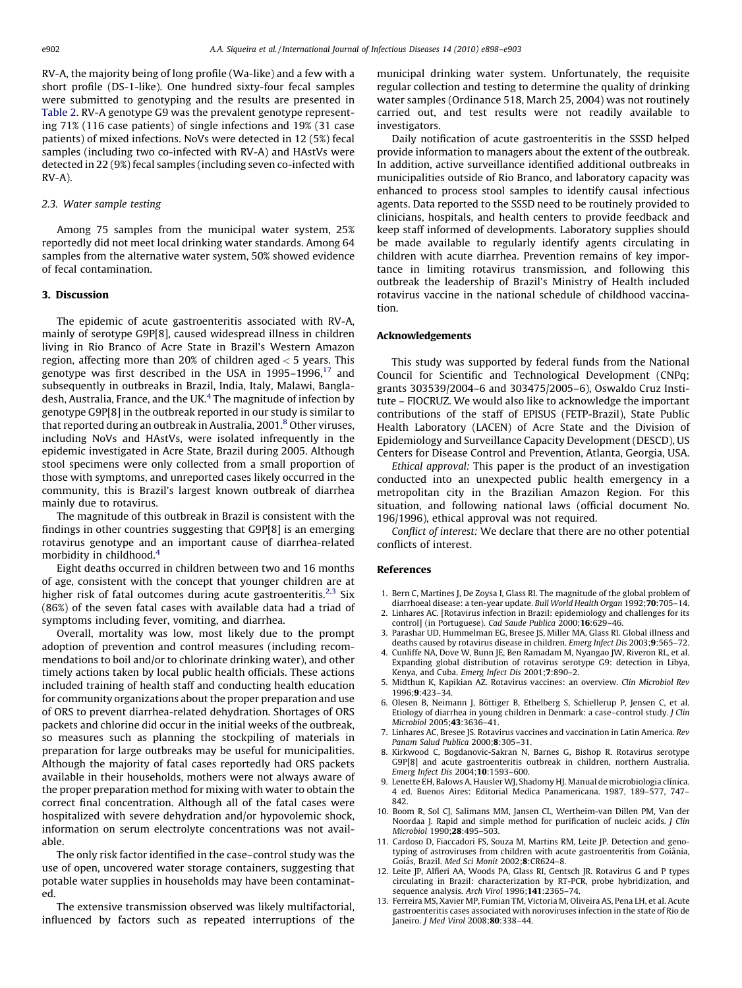<span id="page-4-0"></span>RV-A, the majority being of long profile (Wa-like) and a few with a short profile (DS-1-like). One hundred sixty-four fecal samples were submitted to genotyping and the results are presented in [Table 2](#page-3-0). RV-A genotype G9 was the prevalent genotype representing 71% (116 case patients) of single infections and 19% (31 case patients) of mixed infections. NoVs were detected in 12 (5%) fecal samples (including two co-infected with RV-A) and HAstVs were detected in 22 (9%) fecal samples (including seven co-infected with RV-A).

# 2.3. Water sample testing

Among 75 samples from the municipal water system, 25% reportedly did not meet local drinking water standards. Among 64 samples from the alternative water system, 50% showed evidence of fecal contamination.

#### 3. Discussion

The epidemic of acute gastroenteritis associated with RV-A, mainly of serotype G9P[8], caused widespread illness in children living in Rio Branco of Acre State in Brazil's Western Amazon region, affecting more than 20% of children aged < 5 years. This genotype was first described in the USA in 1995-1996, $17$  and subsequently in outbreaks in Brazil, India, Italy, Malawi, Bangladesh, Australia, France, and the UK.<sup>4</sup> The magnitude of infection by genotype G9P[8] in the outbreak reported in our study is similar to that reported during an outbreak in Australia, 2001.<sup>8</sup> Other viruses, including NoVs and HAstVs, were isolated infrequently in the epidemic investigated in Acre State, Brazil during 2005. Although stool specimens were only collected from a small proportion of those with symptoms, and unreported cases likely occurred in the community, this is Brazil's largest known outbreak of diarrhea mainly due to rotavirus.

The magnitude of this outbreak in Brazil is consistent with the findings in other countries suggesting that G9P[8] is an emerging rotavirus genotype and an important cause of diarrhea-related morbidity in childhood.<sup>4</sup>

Eight deaths occurred in children between two and 16 months of age, consistent with the concept that younger children are at higher risk of fatal outcomes during acute gastroenteritis.<sup>2,3</sup> Six (86%) of the seven fatal cases with available data had a triad of symptoms including fever, vomiting, and diarrhea.

Overall, mortality was low, most likely due to the prompt adoption of prevention and control measures (including recommendations to boil and/or to chlorinate drinking water), and other timely actions taken by local public health officials. These actions included training of health staff and conducting health education for community organizations about the proper preparation and use of ORS to prevent diarrhea-related dehydration. Shortages of ORS packets and chlorine did occur in the initial weeks of the outbreak, so measures such as planning the stockpiling of materials in preparation for large outbreaks may be useful for municipalities. Although the majority of fatal cases reportedly had ORS packets available in their households, mothers were not always aware of the proper preparation method for mixing with water to obtain the correct final concentration. Although all of the fatal cases were hospitalized with severe dehydration and/or hypovolemic shock, information on serum electrolyte concentrations was not available.

The only risk factor identified in the case–control study was the use of open, uncovered water storage containers, suggesting that potable water supplies in households may have been contaminated.

The extensive transmission observed was likely multifactorial, influenced by factors such as repeated interruptions of the municipal drinking water system. Unfortunately, the requisite regular collection and testing to determine the quality of drinking water samples (Ordinance 518, March 25, 2004) was not routinely carried out, and test results were not readily available to investigators.

Daily notification of acute gastroenteritis in the SSSD helped provide information to managers about the extent of the outbreak. In addition, active surveillance identified additional outbreaks in municipalities outside of Rio Branco, and laboratory capacity was enhanced to process stool samples to identify causal infectious agents. Data reported to the SSSD need to be routinely provided to clinicians, hospitals, and health centers to provide feedback and keep staff informed of developments. Laboratory supplies should be made available to regularly identify agents circulating in children with acute diarrhea. Prevention remains of key importance in limiting rotavirus transmission, and following this outbreak the leadership of Brazil's Ministry of Health included rotavirus vaccine in the national schedule of childhood vaccination.

## Acknowledgements

This study was supported by federal funds from the National Council for Scientific and Technological Development (CNPq; grants 303539/2004–6 and 303475/2005–6), Oswaldo Cruz Institute – FIOCRUZ. We would also like to acknowledge the important contributions of the staff of EPISUS (FETP-Brazil), State Public Health Laboratory (LACEN) of Acre State and the Division of Epidemiology and Surveillance Capacity Development (DESCD), US Centers for Disease Control and Prevention, Atlanta, Georgia, USA.

Ethical approval: This paper is the product of an investigation conducted into an unexpected public health emergency in a metropolitan city in the Brazilian Amazon Region. For this situation, and following national laws (official document No. 196/1996), ethical approval was not required.

Conflict of interest: We declare that there are no other potential conflicts of interest.

## References

- 1. Bern C, Martines J, De Zoysa I, Glass RI. The magnitude of the global problem of diarrhoeal disease: a ten-year update. Bull World Health Organ 1992;70:705-14.
- 2. Linhares AC. [Rotavirus infection in Brazil: epidemiology and challenges for its control] (in Portuguese). Cad Saude Publica 2000;16:629–46.
- 3. Parashar UD, Hummelman EG, Bresee JS, Miller MA, Glass RI. Global illness and deaths caused by rotavirus disease in children. Emerg Infect Dis 2003;9:565–72.
- 4. Cunliffe NA, Dove W, Bunn JE, Ben Ramadam M, Nyangao JW, Riveron RL, et al. Expanding global distribution of rotavirus serotype G9: detection in Libya, Kenya, and Cuba. Emerg Infect Dis 2001:7:890-2.
- 5. Midthun K, Kapikian AZ. Rotavirus vaccines: an overview. Clin Microbiol Rev 1996;9:423–34.
- 6. Olesen B, Neimann J, Böttiger B, Ethelberg S, Schiellerup P, Jensen C, et al. Etiology of diarrhea in young children in Denmark: a case–control study. J Clin Microbiol 2005;43:3636–41.
- 7. Linhares AC, Bresee JS. Rotavirus vaccines and vaccination in Latin America. Rev Panam Salud Publica 2000;8:305–31.
- 8. Kirkwood C, Bogdanovic-Sakran N, Barnes G, Bishop R. Rotavirus serotype G9P[8] and acute gastroenteritis outbreak in children, northern Australia. Emerg Infect Dis 2004;10:1593–600.
- 9. Lenette EH, Balows A, Hausler WJ, Shadomy HJ. Manual de microbiologia clínica. 4 ed. Buenos Aires: Editorial Medica Panamericana. 1987, 189–577, 747– 842.
- 10. Boom R, Sol CJ, Salimans MM, Jansen CL, Wertheim-van Dillen PM, Van der Noordaa J. Rapid and simple method for purification of nucleic acids. J Clin Microbiol 1990;28:495-503.
- 11. Cardoso D, Fiaccadori FS, Souza M, Martins RM, Leite JP. Detection and genotyping of astroviruses from children with acute gastroenteritis from Goiânia, Goiás, Brazil. Med Sci Monit 2002;8:CR624-8.
- 12. Leite JP, Alfieri AA, Woods PA, Glass RI, Gentsch JR. Rotavirus G and P types circulating in Brazil: characterization by RT-PCR, probe hybridization, and sequence analysis. Arch Virol 1996;141:2365–74.
- 13. Ferreira MS, Xavier MP, Fumian TM, Victoria M, Oliveira AS, Pena LH, et al. Acute gastroenteritis cases associated with noroviruses infection in the state of Rio de Janeiro. J Med Virol 2008;80:338-44.